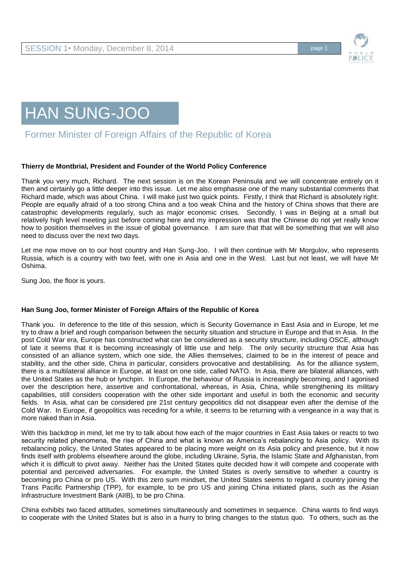



Former Minister of Foreign Affairs of the Republic of Korea

## **Thierry de Montbrial, President and Founder of the World Policy Conference**

Thank you very much, Richard. The next session is on the Korean Peninsula and we will concentrate entirely on it then and certainly go a little deeper into this issue. Let me also emphasise one of the many substantial comments that Richard made, which was about China. I will make just two quick points. Firstly, I think that Richard is absolutely right. People are equally afraid of a too strong China and a too weak China and the history of China shows that there are catastrophic developments regularly, such as major economic crises. Secondly, I was in Beijing at a small but relatively high level meeting just before coming here and my impression was that the Chinese do not yet really know how to position themselves in the issue of global governance. I am sure that that will be something that we will also need to discuss over the next two days.

Let me now move on to our host country and Han Sung-Joo. I will then continue with Mr Morgulov, who represents Russia, which is a country with two feet, with one in Asia and one in the West. Last but not least, we will have Mr Oshima.

Sung Joo, the floor is yours.

## **Han Sung Joo, former Minister of Foreign Affairs of the Republic of Korea**

Thank you. In deference to the title of this session, which is Security Governance in East Asia and in Europe, let me try to draw a brief and rough comparison between the security situation and structure in Europe and that in Asia. In the post Cold War era, Europe has constructed what can be considered as a security structure, including OSCE, although of late it seems that it is becoming increasingly of little use and help. The only security structure that Asia has consisted of an alliance system, which one side, the Allies themselves, claimed to be in the interest of peace and stability, and the other side, China in particular, considers provocative and destabilising. As for the alliance system, there is a multilateral alliance in Europe, at least on one side, called NATO. In Asia, there are bilateral alliances, with the United States as the hub or lynchpin. In Europe, the behaviour of Russia is increasingly becoming, and I agonised over the description here, assertive and confrontational, whereas, in Asia, China, while strengthening its military capabilities, still considers cooperation with the other side important and useful in both the economic and security fields. In Asia, what can be considered pre 21st century geopolitics did not disappear even after the demise of the Cold War. In Europe, if geopolitics was receding for a while, it seems to be returning with a vengeance in a way that is more naked than in Asia.

With this backdrop in mind, let me try to talk about how each of the major countries in East Asia takes or reacts to two security related phenomena, the rise of China and what is known as America's rebalancing to Asia policy. With its rebalancing policy, the United States appeared to be placing more weight on its Asia policy and presence, but it now finds itself with problems elsewhere around the globe, including Ukraine, Syria, the Islamic State and Afghanistan, from which it is difficult to pivot away. Neither has the United States quite decided how it will compete and cooperate with potential and perceived adversaries. For example, the United States is overly sensitive to whether a country is becoming pro China or pro US. With this zero sum mindset, the United States seems to regard a country joining the Trans Pacific Partnership (TPP), for example, to be pro US and joining China initiated plans, such as the Asian Infrastructure Investment Bank (AIIB), to be pro China.

China exhibits two faced attitudes, sometimes simultaneously and sometimes in sequence. China wants to find ways to cooperate with the United States but is also in a hurry to bring changes to the status quo. To others, such as the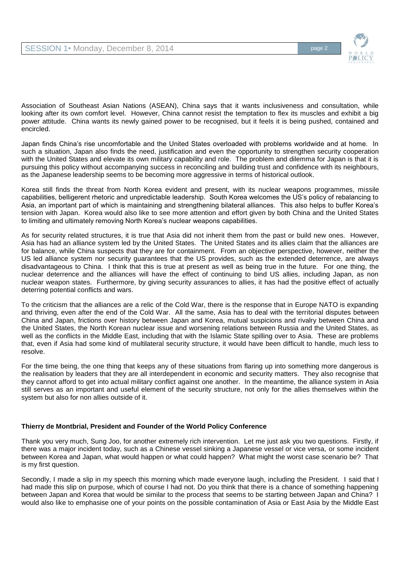

Association of Southeast Asian Nations (ASEAN), China says that it wants inclusiveness and consultation, while looking after its own comfort level. However, China cannot resist the temptation to flex its muscles and exhibit a big power attitude. China wants its newly gained power to be recognised, but it feels it is being pushed, contained and encircled.

Japan finds China's rise uncomfortable and the United States overloaded with problems worldwide and at home. In such a situation, Japan also finds the need, justification and even the opportunity to strengthen security cooperation with the United States and elevate its own military capability and role. The problem and dilemma for Japan is that it is pursuing this policy without accompanying success in reconciling and building trust and confidence with its neighbours, as the Japanese leadership seems to be becoming more aggressive in terms of historical outlook.

Korea still finds the threat from North Korea evident and present, with its nuclear weapons programmes, missile capabilities, belligerent rhetoric and unpredictable leadership. South Korea welcomes the US's policy of rebalancing to Asia, an important part of which is maintaining and strengthening bilateral alliances. This also helps to buffer Korea's tension with Japan. Korea would also like to see more attention and effort given by both China and the United States to limiting and ultimately removing North Korea's nuclear weapons capabilities.

As for security related structures, it is true that Asia did not inherit them from the past or build new ones. However, Asia has had an alliance system led by the United States. The United States and its allies claim that the alliances are for balance, while China suspects that they are for containment. From an objective perspective, however, neither the US led alliance system nor security guarantees that the US provides, such as the extended deterrence, are always disadvantageous to China. I think that this is true at present as well as being true in the future. For one thing, the nuclear deterrence and the alliances will have the effect of continuing to bind US allies, including Japan, as non nuclear weapon states. Furthermore, by giving security assurances to allies, it has had the positive effect of actually deterring potential conflicts and wars.

To the criticism that the alliances are a relic of the Cold War, there is the response that in Europe NATO is expanding and thriving, even after the end of the Cold War. All the same, Asia has to deal with the territorial disputes between China and Japan, frictions over history between Japan and Korea, mutual suspicions and rivalry between China and the United States, the North Korean nuclear issue and worsening relations between Russia and the United States, as well as the conflicts in the Middle East, including that with the Islamic State spilling over to Asia. These are problems that, even if Asia had some kind of multilateral security structure, it would have been difficult to handle, much less to resolve.

For the time being, the one thing that keeps any of these situations from flaring up into something more dangerous is the realisation by leaders that they are all interdependent in economic and security matters. They also recognise that they cannot afford to get into actual military conflict against one another. In the meantime, the alliance system in Asia still serves as an important and useful element of the security structure, not only for the allies themselves within the system but also for non allies outside of it.

## **Thierry de Montbrial, President and Founder of the World Policy Conference**

Thank you very much, Sung Joo, for another extremely rich intervention. Let me just ask you two questions. Firstly, if there was a major incident today, such as a Chinese vessel sinking a Japanese vessel or vice versa, or some incident between Korea and Japan, what would happen or what could happen? What might the worst case scenario be? That is my first question.

Secondly, I made a slip in my speech this morning which made everyone laugh, including the President. I said that I had made this slip on purpose, which of course I had not. Do you think that there is a chance of something happening between Japan and Korea that would be similar to the process that seems to be starting between Japan and China? I would also like to emphasise one of your points on the possible contamination of Asia or East Asia by the Middle East